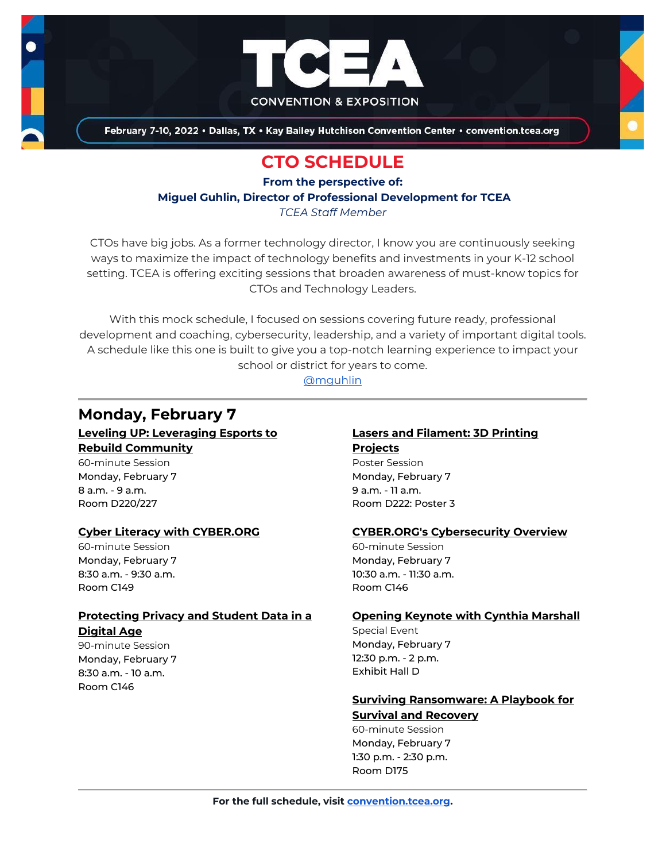

February 7-10, 2022 . Dallas, TX . Kay Bailey Hutchison Convention Center . convention.tcea.org

# **CTO SCHEDULE**

**From the perspective of:**

**Miguel Guhlin, Director of Professional Development for TCEA**

*TCEA Staff Member*

CTOs have big jobs. As a former technology director, I know you are continuously seeking ways to maximize the impact of technology benefits and investments in your K-12 school setting. TCEA is offering exciting sessions that broaden awareness of must-know topics for CTOs and Technology Leaders.

With this mock schedule, I focused on sessions covering future ready, professional development and coaching, cybersecurity, leadership, and a variety of important digital tools. A schedule like this one is built to give you a top-notch learning experience to impact your school or district for years to come.

[@mguhlin](https://twitter.com/mguhlin)

## **Monday, February 7**

**[Leveling UP: Leveraging Esports to](https://register.tcea.org/2022/session_list.cfm?session_key=023C9D9F-F04D-A206-2B64-6BDF14601945&session_date=Monday,%20Feb%2007,%202022)  [Rebuild Community](https://register.tcea.org/2022/session_list.cfm?session_key=023C9D9F-F04D-A206-2B64-6BDF14601945&session_date=Monday,%20Feb%2007,%202022)** 60-minute Session Monday, February 7 8 a.m. - 9 a.m.

### **[Cyber Literacy with CYBER.ORG](https://register.tcea.org/2022/session_list.cfm?session_key=0234C6A9-F04D-A206-2B64-FA37FA8EE4DE&session_date=Monday,%20Feb%2007,%202022)**

60-minute Session Monday, February 7 8:30 a.m. - 9:30 a.m. Room C149

Room D220/227

### **[Protecting Privacy and Student Data in a](https://register.tcea.org/2022/session_list.cfm?session_key=023F1F48-F04D-A206-2B64-CC6964F5E193&session_date=Monday,%20Feb%2007,%202022)  [Digital Age](https://register.tcea.org/2022/session_list.cfm?session_key=023F1F48-F04D-A206-2B64-CC6964F5E193&session_date=Monday,%20Feb%2007,%202022)**

90-minute Session Monday, February 7 8:30 a.m. - 10 a.m. Room C146

### **[Lasers and Filament: 3D Printing](https://register.tcea.org/2022/session_list.cfm?session_key=023C350D-F04D-A206-2B64-C67AD1277107&session_date=Monday,%20Feb%2007,%202022)  [Projects](https://register.tcea.org/2022/session_list.cfm?session_key=023C350D-F04D-A206-2B64-C67AD1277107&session_date=Monday,%20Feb%2007,%202022)**

Poster Session Monday, February 7 9 a.m. - 11 a.m. Room D222: Poster 3

### **[CYBER.ORG's Cybersecurity Overview](https://register.tcea.org/2022/session_list.cfm?session_key=0234D28B-F04D-A206-2B64-B85FB91EB17C&session_date=Monday,%20Feb%2007,%202022)**

60-minute Session Monday, February 7 10:30 a.m. - 11:30 a.m. Room C146

#### **[Opening Keynote with Cynthia Marshall](https://register.tcea.org/2022/session_list.cfm?session_key=5F0745B8-F04D-A206-2B64-0D4631096E34&session_date=Monday,%20Feb%2007,%202022)**

Special Event Monday, February 7 12:30 p.m. - 2 p.m. Exhibit Hall D

## **[Surviving Ransomware: A Playbook for](https://register.tcea.org/2022/session_list.cfm?session_key=9A893599-F04D-A206-2B64-3E57498DA834&session_date=Monday,%20Feb%2007,%202022)**

**[Survival and Recovery](https://register.tcea.org/2022/session_list.cfm?session_key=9A893599-F04D-A206-2B64-3E57498DA834&session_date=Monday,%20Feb%2007,%202022)** 60-minute Session Monday, February 7 1:30 p.m. - 2:30 p.m. Room D175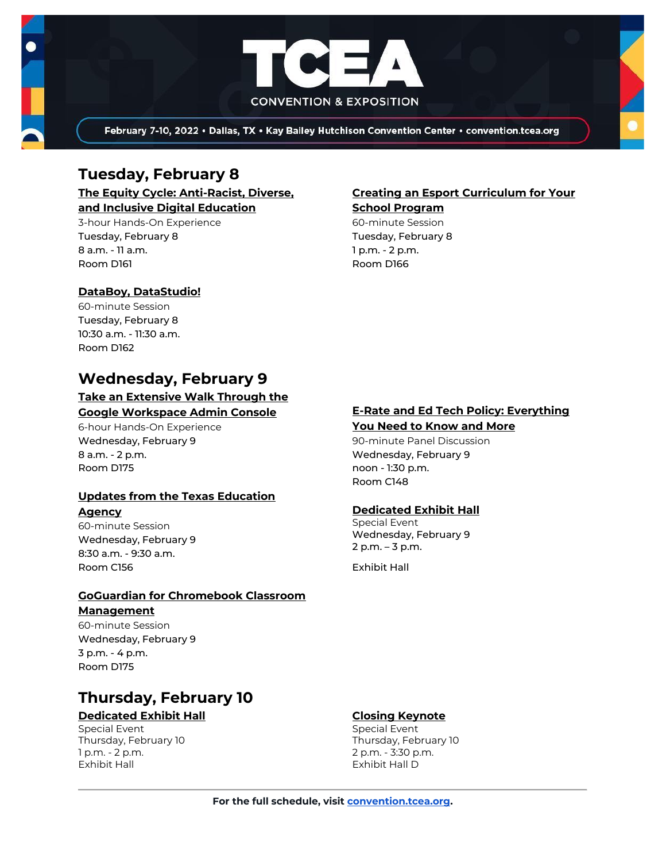

February 7-10, 2022 · Dallas, TX · Kay Bailey Hutchison Convention Center · convention.tcea.org

## **Tuesday, February 8**

**[The Equity Cycle: Anti-Racist, Diverse,](https://register.tcea.org/2022/session_list.cfm?session_key=C7D0EECE-F04D-A206-2B64-047DED2E344B&session_date=Tuesday,%20Feb%2008,%202022)  [and Inclusive Digital Education](https://register.tcea.org/2022/session_list.cfm?session_key=C7D0EECE-F04D-A206-2B64-047DED2E344B&session_date=Tuesday,%20Feb%2008,%202022)**

3-hour Hands-On Experience Tuesday, February 8 8 a.m. - 11 a.m. Room D161

## **[Creating an Esport Curriculum for Your](https://register.tcea.org/2022/session_list.cfm?session_key=02347559-F04D-A206-2B64-4A4A89036C76&session_date=Tuesday,%20Feb%2008,%202022)**

**[School Program](https://register.tcea.org/2022/session_list.cfm?session_key=02347559-F04D-A206-2B64-4A4A89036C76&session_date=Tuesday,%20Feb%2008,%202022)**

60-minute Session Tuesday, February 8 1 p.m. - 2 p.m. Room D166

### **[DataBoy, DataStudio!](https://register.tcea.org/2022/session_list.cfm?session_key=0234FF58-F04D-A206-2B64-414E1D3FA231&session_date=Tuesday,%20Feb%2008,%202022)**

60-minute Session Tuesday, February 8 10:30 a.m. - 11:30 a.m. Room D162

## **Wednesday, February 9**

## **[Take an Extensive Walk Through the](https://register.tcea.org/2022/session_list.cfm?session_key=0241A843-F04D-A206-2B64-E8F3633C8F55&session_date=Wednesday,%20Feb%2009,%202022)**

### **[Google Workspace Admin Console](https://register.tcea.org/2022/session_list.cfm?session_key=0241A843-F04D-A206-2B64-E8F3633C8F55&session_date=Wednesday,%20Feb%2009,%202022)**

6-hour Hands-On Experience Wednesday, February 9 8 a.m. - 2 p.m. Room D175

### **[Updates from the Texas Education](https://register.tcea.org/2022/session_list.cfm?session_key=02440958-F04D-A206-2B64-9A44A778F8A8&session_date=Wednesday,%20Feb%2009,%202022)**

### **[Agency](https://register.tcea.org/2022/session_list.cfm?session_key=02440958-F04D-A206-2B64-9A44A778F8A8&session_date=Wednesday,%20Feb%2009,%202022)**

60-minute Session Wednesday, February 9 8:30 a.m. - 9:30 a.m. Room C156

### **[GoGuardian for Chromebook Classroom](https://register.tcea.org/2022/session_list.cfm?session_key=0238CE85-F04D-A206-2B64-691B834E7AF8&session_date=Wednesday,%20Feb%2009,%202022)  [Management](https://register.tcea.org/2022/session_list.cfm?session_key=0238CE85-F04D-A206-2B64-691B834E7AF8&session_date=Wednesday,%20Feb%2009,%202022)**

60-minute Session Wednesday, February 9 3 p.m. - 4 p.m. Room D175

# **Thursday, February 10**

### **[Dedicated Exhibit Hall](https://register.tcea.org/2022/session_list.cfm?session_key=61CDD8E6-F04D-A206-2B64-74AAAD8173D7&session_date=Thursday,%20Feb%2010,%202022)**

Special Event Thursday, February 10 1 p.m. - 2 p.m. Exhibit Hall

### **[E-Rate and Ed Tech Policy: Everything](https://register.tcea.org/2022/session_list.cfm?session_key=0236A9DF-F04D-A206-2B64-FFEDC310FE3C&session_date=Wednesday,%20Feb%2009,%202022)**

#### **[You Need to Know and More](https://register.tcea.org/2022/session_list.cfm?session_key=0236A9DF-F04D-A206-2B64-FFEDC310FE3C&session_date=Wednesday,%20Feb%2009,%202022)**

90-minute Panel Discussion Wednesday, February 9 noon - 1:30 p.m. Room C148

### **[Dedicated Exhibit Hall](https://register.tcea.org/2022/session_list.cfm?session_key=61CDD8E6-F04D-A206-2B64-74AAAD8173D7&session_date=Wednesday,%20Feb%2009,%202022)**

Special Event Wednesday, February 9 2 p.m. – 3 p.m.

Exhibit Hall

### **[Closing Keynote](https://register.tcea.org/2022/session_list.cfm?session_key=5F4F3255-F04D-A206-2B64-6ACD0E3FF7E6&session_date=Thursday,%20Feb%2010,%202022)**

Special Event Thursday, February 10 2 p.m. - 3:30 p.m. Exhibit Hall D